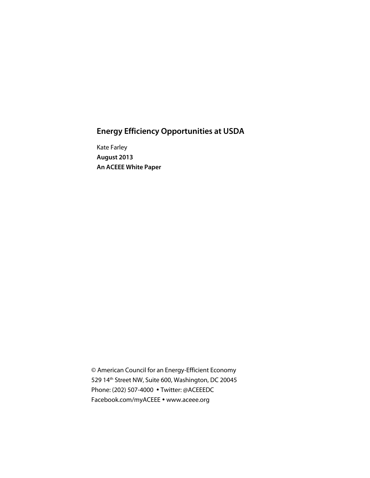# **Energy Efficiency Opportunities at USDA**

Kate Farley **August 2013 An ACEEE White Paper**

© American Council for an Energy-Efficient Economy 529 14th Street NW, Suite 600, Washington, DC 20045 Phone: (202) 507-4000 Twitter: @ACEEEDC Facebook.com/myACEEE • www.aceee.org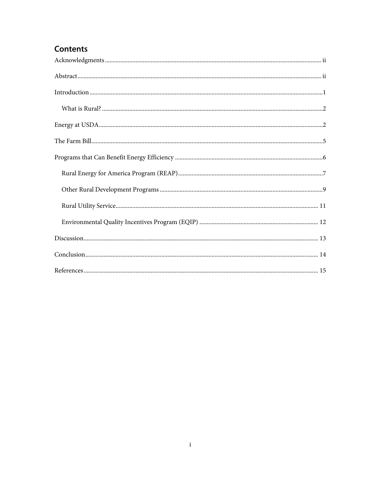# **Contents**

| $\label{prop:1} In traditional \emph{untroduction} \normalsize \begin{minipage}{0.5\textwidth} \centering \begin{tabular}{ l l } \hline \textbf{Introduction} & \textbf{0.00001} & \textbf{0.00001} & \textbf{0.00001} & \textbf{0.00001} & \textbf{0.00001} & \textbf{0.00001} & \textbf{0.00001} & \textbf{0.00001} & \textbf{0.00001} & \textbf{0.00001} & \textbf{0.00001} & \textbf{0.00001} & \textbf$ |  |
|--------------------------------------------------------------------------------------------------------------------------------------------------------------------------------------------------------------------------------------------------------------------------------------------------------------------------------------------------------------------------------------------------------------|--|
|                                                                                                                                                                                                                                                                                                                                                                                                              |  |
|                                                                                                                                                                                                                                                                                                                                                                                                              |  |
|                                                                                                                                                                                                                                                                                                                                                                                                              |  |
|                                                                                                                                                                                                                                                                                                                                                                                                              |  |
|                                                                                                                                                                                                                                                                                                                                                                                                              |  |
|                                                                                                                                                                                                                                                                                                                                                                                                              |  |
|                                                                                                                                                                                                                                                                                                                                                                                                              |  |
|                                                                                                                                                                                                                                                                                                                                                                                                              |  |
|                                                                                                                                                                                                                                                                                                                                                                                                              |  |
|                                                                                                                                                                                                                                                                                                                                                                                                              |  |
|                                                                                                                                                                                                                                                                                                                                                                                                              |  |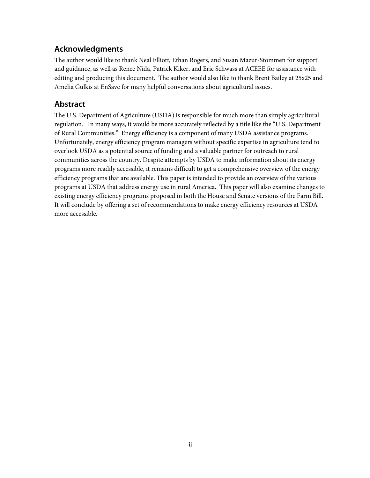## <span id="page-3-0"></span>**Acknowledgments**

The author would like to thank Neal Elliott, Ethan Rogers, and Susan Mazur-Stommen for support and guidance, as well as Renee Nida, Patrick Kiker, and Eric Schwass at ACEEE for assistance with editing and producing this document. The author would also like to thank Brent Bailey at 25x25 and Amelia Gulkis at EnSave for many helpful conversations about agricultural issues.

### <span id="page-3-1"></span>**Abstract**

The U.S. Department of Agriculture (USDA) is responsible for much more than simply agricultural regulation. In many ways, it would be more accurately reflected by a title like the "U.S. Department of Rural Communities." Energy efficiency is a component of many USDA assistance programs. Unfortunately, energy efficiency program managers without specific expertise in agriculture tend to overlook USDA as a potential source of funding and a valuable partner for outreach to rural communities across the country. Despite attempts by USDA to make information about its energy programs more readily accessible, it remains difficult to get a comprehensive overview of the energy efficiency programs that are available. This paper is intended to provide an overview of the various programs at USDA that address energy use in rural America. This paper will also examine changes to existing energy efficiency programs proposed in both the House and Senate versions of the Farm Bill. It will conclude by offering a set of recommendations to make energy efficiency resources at USDA more accessible.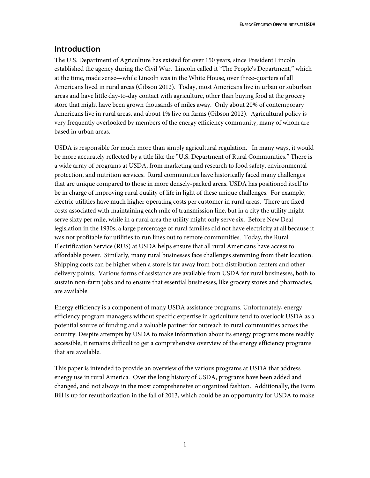### <span id="page-4-0"></span>**Introduction**

The U.S. Department of Agriculture has existed for over 150 years, since President Lincoln established the agency during the Civil War. Lincoln called it "The People's Department," which at the time, made sense—while Lincoln was in the White House, over three-quarters of all Americans lived in rural areas (Gibson 2012). Today, most Americans live in urban or suburban areas and have little day-to-day contact with agriculture, other than buying food at the grocery store that might have been grown thousands of miles away. Only about 20% of contemporary Americans live in rural areas, and about 1% live on farms (Gibson 2012). Agricultural policy is very frequently overlooked by members of the energy efficiency community, many of whom are based in urban areas.

USDA is responsible for much more than simply agricultural regulation. In many ways, it would be more accurately reflected by a title like the "U.S. Department of Rural Communities." There is a wide array of programs at USDA, from marketing and research to food safety, environmental protection, and nutrition services. Rural communities have historically faced many challenges that are unique compared to those in more densely-packed areas. USDA has positioned itself to be in charge of improving rural quality of life in light of these unique challenges. For example, electric utilities have much higher operating costs per customer in rural areas. There are fixed costs associated with maintaining each mile of transmission line, but in a city the utility might serve sixty per mile, while in a rural area the utility might only serve six. Before New Deal legislation in the 1930s, a large percentage of rural families did not have electricity at all because it was not profitable for utilities to run lines out to remote communities. Today, the Rural Electrification Service (RUS) at USDA helps ensure that all rural Americans have access to affordable power. Similarly, many rural businesses face challenges stemming from their location. Shipping costs can be higher when a store is far away from both distribution centers and other delivery points. Various forms of assistance are available from USDA for rural businesses, both to sustain non-farm jobs and to ensure that essential businesses, like grocery stores and pharmacies, are available.

Energy efficiency is a component of many USDA assistance programs. Unfortunately, energy efficiency program managers without specific expertise in agriculture tend to overlook USDA as a potential source of funding and a valuable partner for outreach to rural communities across the country. Despite attempts by USDA to make information about its energy programs more readily accessible, it remains difficult to get a comprehensive overview of the energy efficiency programs that are available.

This paper is intended to provide an overview of the various programs at USDA that address energy use in rural America. Over the long history of USDA, programs have been added and changed, and not always in the most comprehensive or organized fashion. Additionally, the Farm Bill is up for reauthorization in the fall of 2013, which could be an opportunity for USDA to make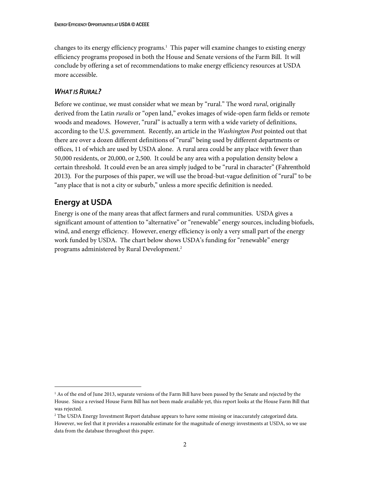changes to its energy efficiency programs.<sup>1</sup> This paper will examine changes to existing energy efficiency programs proposed in both the House and Senate versions of the Farm Bill. It will conclude by offering a set of recommendations to make energy efficiency resources at USDA more accessible.

#### <span id="page-5-0"></span>*WHAT IS RURAL?*

Before we continue, we must consider what we mean by "rural." The word *rural*, originally derived from the Latin *ruralis* or "open land," evokes images of wide-open farm fields or remote woods and meadows. However, "rural" is actually a term with a wide variety of definitions, according to the U.S. government. Recently, an article in the *Washington Post* pointed out that there are over a dozen different definitions of "rural" being used by different departments or offices, 11 of which are used by USDA alone. A rural area could be any place with fewer than 50,000 residents, or 20,000, or 2,500. It could be any area with a population density below a certain threshold. It could even be an area simply judged to be "rural in character" (Fahrenthold 2013). For the purposes of this paper, we will use the broad-but-vague definition of "rural" to be "any place that is not a city or suburb," unless a more specific definition is needed.

### <span id="page-5-1"></span>**Energy at USDA**

 $\overline{a}$ 

Energy is one of the many areas that affect farmers and rural communities. USDA gives a significant amount of attention to "alternative" or "renewable" energy sources, including biofuels, wind, and energy efficiency. However, energy efficiency is only a very small part of the energy work funded by USDA. The chart below shows USDA's funding for "renewable" energy programs administered by Rural Development. 2

<sup>&</sup>lt;sup>1</sup> As of the end of June 2013, separate versions of the Farm Bill have been passed by the Senate and rejected by the House. Since a revised House Farm Bill has not been made available yet, this report looks at the House Farm Bill that was rejected.

<sup>&</sup>lt;sup>2</sup> The USDA Energy Investment Report database appears to have some missing or inaccurately categorized data. However, we feel that it provides a reasonable estimate for the magnitude of energy investments at USDA, so we use data from the database throughout this paper.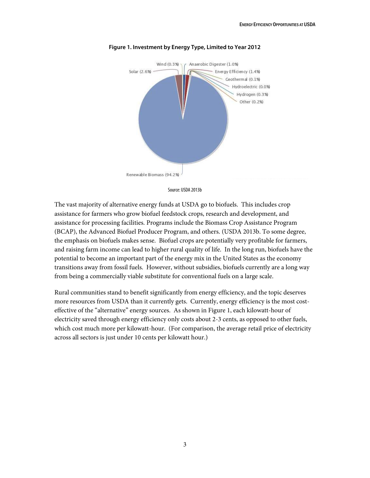

#### **Figure 1. Investment by Energy Type, Limited to Year 2012**



The vast majority of alternative energy funds at USDA go to biofuels. This includes crop assistance for farmers who grow biofuel feedstock crops, research and development, and assistance for processing facilities. Programs include the Biomass Crop Assistance Program (BCAP), the Advanced Biofuel Producer Program, and others. (USDA 2013b. To some degree, the emphasis on biofuels makes sense. Biofuel crops are potentially very profitable for farmers, and raising farm income can lead to higher rural quality of life. In the long run, biofuels have the potential to become an important part of the energy mix in the United States as the economy transitions away from fossil fuels. However, without subsidies, biofuels currently are a long way from being a commercially viable substitute for conventional fuels on a large scale.

Rural communities stand to benefit significantly from energy efficiency, and the topic deserves more resources from USDA than it currently gets. Currently, energy efficiency is the most costeffective of the "alternative" energy sources. As shown in Figure 1, each kilowatt-hour of electricity saved through energy efficiency only costs about 2-3 cents, as opposed to other fuels, which cost much more per kilowatt-hour. (For comparison, the average retail price of electricity across all sectors is just under 10 cents per kilowatt hour.)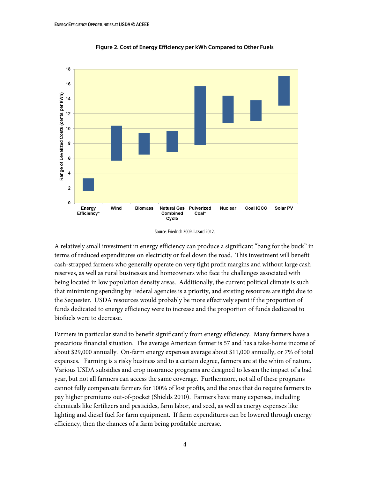

**Figure 2. Cost of Energy Efficiency per kWh Compared to Other Fuels**

A relatively small investment in energy efficiency can produce a significant "bang for the buck" in terms of reduced expenditures on electricity or fuel down the road. This investment will benefit cash-strapped farmers who generally operate on very tight profit margins and without large cash reserves, as well as rural businesses and homeowners who face the challenges associated with being located in low population density areas. Additionally, the current political climate is such that minimizing spending by Federal agencies is a priority, and existing resources are tight due to the Sequester. USDA resources would probably be more effectively spent if the proportion of funds dedicated to energy efficiency were to increase and the proportion of funds dedicated to biofuels were to decrease.

Farmers in particular stand to benefit significantly from energy efficiency. Many farmers have a precarious financial situation. The average American farmer is 57 and has a take-home income of about \$29,000 annually. On-farm energy expenses average about \$11,000 annually, or 7% of total expenses. Farming is a risky business and to a certain degree, farmers are at the whim of nature. Various USDA subsidies and crop insurance programs are designed to lessen the impact of a bad year, but not all farmers can access the same coverage. Furthermore, not all of these programs cannot fully compensate farmers for 100% of lost profits, and the ones that do require farmers to pay higher premiums out-of-pocket (Shields 2010). Farmers have many expenses, including chemicals like fertilizers and pesticides, farm labor, and seed, as well as energy expenses like lighting and diesel fuel for farm equipment. If farm expenditures can be lowered through energy efficiency, then the chances of a farm being profitable increase.

Source: Friedrich 2009, Lazard 2012.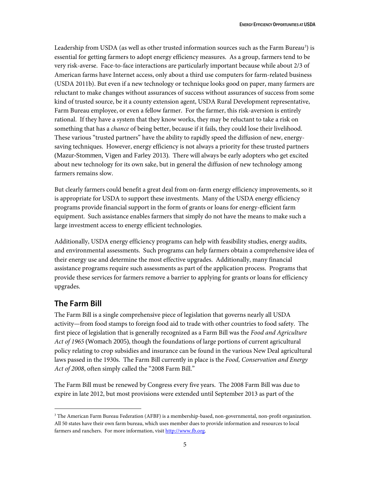Leadership from USDA (as well as other trusted information sources such as the Farm Bureau<sup>3</sup>) is essential for getting farmers to adopt energy efficiency measures. As a group, farmers tend to be very risk-averse. Face-to-face interactions are particularly important because while about 2/3 of American farms have Internet access, only about a third use computers for farm-related business (USDA 2011b). But even if a new technology or technique looks good on paper, many farmers are reluctant to make changes without assurances of success without assurances of success from some kind of trusted source, be it a county extension agent, USDA Rural Development representative, Farm Bureau employee, or even a fellow farmer. For the farmer, this risk-aversion is entirely rational. If they have a system that they know works, they may be reluctant to take a risk on something that has a *chance* of being better, because if it fails, they could lose their livelihood. These various "trusted partners" have the ability to rapidly speed the diffusion of new, energysaving techniques. However, energy efficiency is not always a priority for these trusted partners (Mazur-Stommen, Vigen and Farley 2013). There will always be early adopters who get excited about new technology for its own sake, but in general the diffusion of new technology among farmers remains slow.

But clearly farmers could benefit a great deal from on-farm energy efficiency improvements, so it is appropriate for USDA to support these investments. Many of the USDA energy efficiency programs provide financial support in the form of grants or loans for energy-efficient farm equipment. Such assistance enables farmers that simply do not have the means to make such a large investment access to energy efficient technologies.

Additionally, USDA energy efficiency programs can help with feasibility studies, energy audits, and environmental assessments. Such programs can help farmers obtain a comprehensive idea of their energy use and determine the most effective upgrades. Additionally, many financial assistance programs require such assessments as part of the application process. Programs that provide these services for farmers remove a barrier to applying for grants or loans for efficiency upgrades.

### <span id="page-8-0"></span>**The Farm Bill**

 $\overline{a}$ 

The Farm Bill is a single comprehensive piece of legislation that governs nearly all USDA activity—from food stamps to foreign food aid to trade with other countries to food safety. The first piece of legislation that is generally recognized as a Farm Bill was the *Food and Agriculture Act of 1965* (Womach 2005), though the foundations of large portions of current agricultural policy relating to crop subsidies and insurance can be found in the various New Deal agricultural laws passed in the 1930s. The Farm Bill currently in place is the *Food, Conservation and Energy Act of 2008*, often simply called the "2008 Farm Bill."

The Farm Bill must be renewed by Congress every five years. The 2008 Farm Bill was due to expire in late 2012, but most provisions were extended until September 2013 as part of the

<sup>&</sup>lt;sup>3</sup> The American Farm Bureau Federation (AFBF) is a membership-based, non-governmental, non-profit organization. All 50 states have their own farm bureau, which uses member dues to provide information and resources to local farmers and ranchers. For more information, visit [http://www.fb.org.](http://www.fb.org/)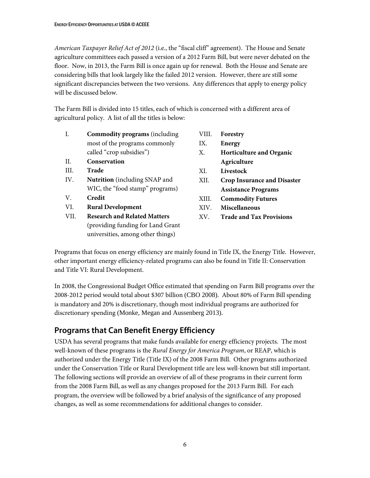*American Taxpayer Relief Act of 2012* (i.e., the "fiscal cliff" agreement). The House and Senate agriculture committees each passed a version of a 2012 Farm Bill, but were never debated on the floor. Now, in 2013, the Farm Bill is once again up for renewal. Both the House and Senate are considering bills that look largely like the failed 2012 version. However, there are still some significant discrepancies between the two versions. Any differences that apply to energy policy will be discussed below.

The Farm Bill is divided into 15 titles, each of which is concerned with a different area of agricultural policy. A list of all the titles is below:

| I.   | <b>Commodity programs</b> (including | VIII. | Forestry                           |
|------|--------------------------------------|-------|------------------------------------|
|      | most of the programs commonly        | IX.   | Energy                             |
|      | called "crop subsidies")             | Χ.    | <b>Horticulture and Organic</b>    |
| H.   | Conservation                         |       | Agriculture                        |
| III. | <b>Trade</b>                         | XI.   | Livestock                          |
| IV.  | <b>Nutrition</b> (including SNAP and | XII.  | <b>Crop Insurance and Disaster</b> |
|      | WIC, the "food stamp" programs)      |       | <b>Assistance Programs</b>         |
| V.   | Credit                               | XIII. | <b>Commodity Futures</b>           |
| VI.  | <b>Rural Development</b>             | XIV.  | <b>Miscellaneous</b>               |
| VII. | <b>Research and Related Matters</b>  | XV.   | <b>Trade and Tax Provisions</b>    |
|      | (providing funding for Land Grant    |       |                                    |
|      | universities, among other things)    |       |                                    |

Programs that focus on energy efficiency are mainly found in Title IX, the Energy Title. However, other important energy efficiency-related programs can also be found in Title II: Conservation and Title VI: Rural Development.

In 2008, the Congressional Budget Office estimated that spending on Farm Bill programs over the 2008-2012 period would total about \$307 billion (CBO 2008). About 80% of Farm Bill spending is mandatory and 20% is discretionary, though most individual programs are authorized for discretionary spending (Monke, Megan and Aussenberg 2013).

## <span id="page-9-0"></span>**Programs that Can Benefit Energy Efficiency**

USDA has several programs that make funds available for energy efficiency projects. The most well-known of these programs is the *Rural Energy for America Program*, or REAP, which is authorized under the Energy Title (Title IX) of the 2008 Farm Bill. Other programs authorized under the Conservation Title or Rural Development title are less well-known but still important. The following sections will provide an overview of all of these programs in their current form from the 2008 Farm Bill, as well as any changes proposed for the 2013 Farm Bill. For each program, the overview will be followed by a brief analysis of the significance of any proposed changes, as well as some recommendations for additional changes to consider.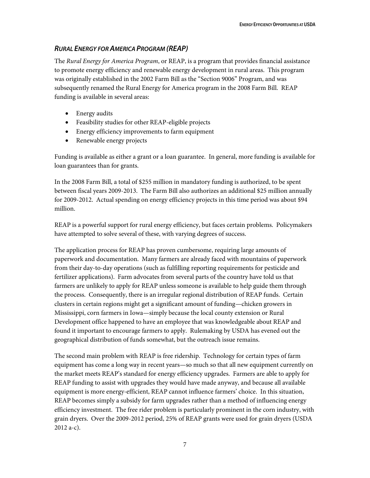#### <span id="page-10-0"></span>*RURAL ENERGY FOR AMERICA PROGRAM (REAP)*

The *Rural Energy for America Program*, or REAP, is a program that provides financial assistance to promote energy efficiency and renewable energy development in rural areas. This program was originally established in the 2002 Farm Bill as the "Section 9006" Program, and was subsequently renamed the Rural Energy for America program in the 2008 Farm Bill. REAP funding is available in several areas:

- Energy audits
- Feasibility studies for other REAP-eligible projects
- Energy efficiency improvements to farm equipment
- Renewable energy projects

Funding is available as either a grant or a loan guarantee. In general, more funding is available for loan guarantees than for grants.

In the 2008 Farm Bill, a total of \$255 million in mandatory funding is authorized, to be spent between fiscal years 2009-2013. The Farm Bill also authorizes an additional \$25 million annually for 2009-2012. Actual spending on energy efficiency projects in this time period was about \$94 million.

REAP is a powerful support for rural energy efficiency, but faces certain problems. Policymakers have attempted to solve several of these, with varying degrees of success.

The application process for REAP has proven cumbersome, requiring large amounts of paperwork and documentation. Many farmers are already faced with mountains of paperwork from their day-to-day operations (such as fulfilling reporting requirements for pesticide and fertilizer applications). Farm advocates from several parts of the country have told us that farmers are unlikely to apply for REAP unless someone is available to help guide them through the process. Consequently, there is an irregular regional distribution of REAP funds. Certain clusters in certain regions might get a significant amount of funding—chicken growers in Mississippi, corn farmers in Iowa—simply because the local county extension or Rural Development office happened to have an employee that was knowledgeable about REAP and found it important to encourage farmers to apply. Rulemaking by USDA has evened out the geographical distribution of funds somewhat, but the outreach issue remains.

The second main problem with REAP is free ridership. Technology for certain types of farm equipment has come a long way in recent years—so much so that all new equipment currently on the market meets REAP's standard for energy efficiency upgrades. Farmers are able to apply for REAP funding to assist with upgrades they would have made anyway, and because all available equipment is more energy-efficient, REAP cannot influence farmers' choice. In this situation, REAP becomes simply a subsidy for farm upgrades rather than a method of influencing energy efficiency investment. The free rider problem is particularly prominent in the corn industry, with grain dryers. Over the 2009-2012 period, 25% of REAP grants were used for grain dryers (USDA 2012 a-c).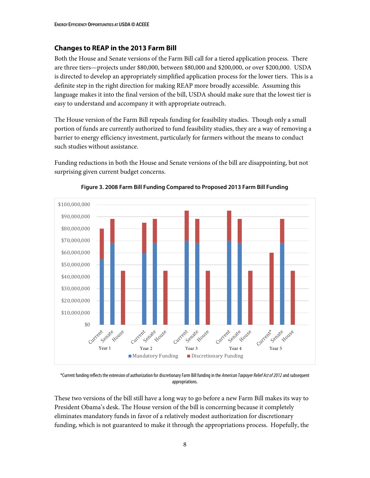#### **Changes to REAP in the 2013 Farm Bill**

Both the House and Senate versions of the Farm Bill call for a tiered application process. There are three tiers—projects under \$80,000, between \$80,000 and \$200,000, or over \$200,000. USDA is directed to develop an appropriately simplified application process for the lower tiers. This is a definite step in the right direction for making REAP more broadly accessible. Assuming this language makes it into the final version of the bill, USDA should make sure that the lowest tier is easy to understand and accompany it with appropriate outreach.

The House version of the Farm Bill repeals funding for feasibility studies. Though only a small portion of funds are currently authorized to fund feasibility studies, they are a way of removing a barrier to energy efficiency investment, particularly for farmers without the means to conduct such studies without assistance.

Funding reductions in both the House and Senate versions of the bill are disappointing, but not surprising given current budget concerns.



**Figure 3. 2008 Farm Bill Funding Compared to Proposed 2013 Farm Bill Funding**

\*Current funding reflects the extension of authorization for discretionaryFarm Bill funding in the *American Taxpayer Relief Act of 2012*and subsequent appropriations.

These two versions of the bill still have a long way to go before a new Farm Bill makes its way to President Obama's desk. The House version of the bill is concerning because it completely eliminates mandatory funds in favor of a relatively modest authorization for discretionary funding, which is not guaranteed to make it through the appropriations process. Hopefully, the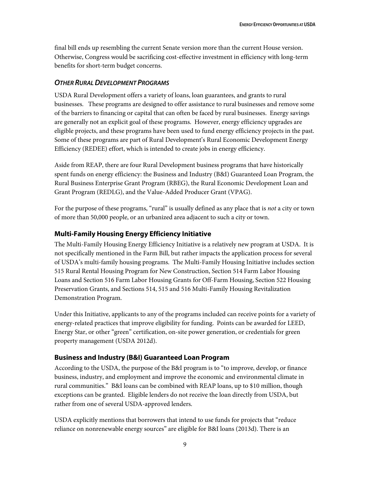final bill ends up resembling the current Senate version more than the current House version. Otherwise, Congress would be sacrificing cost-effective investment in efficiency with long-term benefits for short-term budget concerns.

#### <span id="page-12-0"></span>*OTHER RURAL DEVELOPMENT PROGRAMS*

USDA Rural Development offers a variety of loans, loan guarantees, and grants to rural businesses. These programs are designed to offer assistance to rural businesses and remove some of the barriers to financing or capital that can often be faced by rural businesses. Energy savings are generally not an explicit goal of these programs. However, energy efficiency upgrades are eligible projects, and these programs have been used to fund energy efficiency projects in the past. Some of these programs are part of Rural Development's Rural Economic Development Energy Efficiency (REDEE) effort, which is intended to create jobs in energy efficiency.

Aside from REAP, there are four Rural Development business programs that have historically spent funds on energy efficiency: the Business and Industry (B&I) Guaranteed Loan Program, the Rural Business Enterprise Grant Program (RBEG), the Rural Economic Development Loan and Grant Program (REDLG), and the Value-Added Producer Grant (VPAG).

For the purpose of these programs, "rural" is usually defined as any place that is *not* a city or town of more than 50,000 people, or an urbanized area adjacent to such a city or town.

#### **Multi-Family Housing Energy Efficiency Initiative**

The Multi-Family Housing Energy Efficiency Initiative is a relatively new program at USDA. It is not specifically mentioned in the Farm Bill, but rather impacts the application process for several of USDA's multi-family housing programs. The Multi-Family Housing Initiative includes section 515 Rural Rental Housing Program for New Construction, Section 514 Farm Labor Housing Loans and Section 516 Farm Labor Housing Grants for Off-Farm Housing, Section 522 Housing Preservation Grants, and Sections 514, 515 and 516 Multi-Family Housing Revitalization Demonstration Program.

Under this Initiative, applicants to any of the programs included can receive points for a variety of energy-related practices that improve eligibility for funding. Points can be awarded for LEED, Energy Star, or other "green" certification, on-site power generation, or credentials for green property management (USDA 2012d).

### **Business and Industry (B&I) Guaranteed Loan Program**

According to the USDA, the purpose of the B&I program is to "to improve, develop, or finance business, industry, and employment and improve the economic and environmental climate in rural communities." B&I loans can be combined with REAP loans, up to \$10 million, though exceptions can be granted. Eligible lenders do not receive the loan directly from USDA, but rather from one of several USDA-approved lenders.

USDA explicitly mentions that borrowers that intend to use funds for projects that "reduce reliance on nonrenewable energy sources" are eligible for B&I loans (2013d). There is an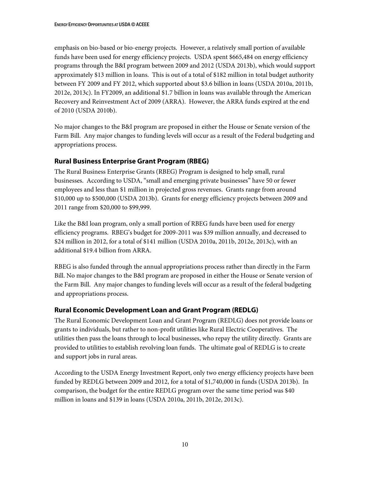emphasis on bio-based or bio-energy projects. However, a relatively small portion of available funds have been used for energy efficiency projects. USDA spent \$665,484 on energy efficiency programs through the B&I program between 2009 and 2012 (USDA 2013b), which would support approximately \$13 million in loans. This is out of a total of \$182 million in total budget authority between FY 2009 and FY 2012, which supported about \$3.6 billion in loans (USDA 2010a, 2011b, 2012e, 2013c). In FY2009, an additional \$1.7 billion in loans was available through the American Recovery and Reinvestment Act of 2009 (ARRA). However, the ARRA funds expired at the end of 2010 (USDA 2010b).

No major changes to the B&I program are proposed in either the House or Senate version of the Farm Bill. Any major changes to funding levels will occur as a result of the Federal budgeting and appropriations process.

### **Rural Business Enterprise Grant Program (RBEG)**

The Rural Business Enterprise Grants (RBEG) Program is designed to help small, rural businesses. According to USDA, "small and emerging private businesses" have 50 or fewer employees and less than \$1 million in projected gross revenues. Grants range from around \$10,000 up to \$500,000 (USDA 2013b). Grants for energy efficiency projects between 2009 and 2011 range from \$20,000 to \$99,999.

Like the B&I loan program, only a small portion of RBEG funds have been used for energy efficiency programs. RBEG's budget for 2009-2011 was \$39 million annually, and decreased to \$24 million in 2012, for a total of \$141 million (USDA 2010a, 2011b, 2012e, 2013c), with an additional \$19.4 billion from ARRA.

RBEG is also funded through the annual appropriations process rather than directly in the Farm Bill. No major changes to the B&I program are proposed in either the House or Senate version of the Farm Bill. Any major changes to funding levels will occur as a result of the federal budgeting and appropriations process.

### **Rural Economic Development Loan and Grant Program (REDLG)**

The Rural Economic Development Loan and Grant Program (REDLG) does not provide loans or grants to individuals, but rather to non-profit utilities like Rural Electric Cooperatives. The utilities then pass the loans through to local businesses, who repay the utility directly. Grants are provided to utilities to establish revolving loan funds. The ultimate goal of REDLG is to create and support jobs in rural areas.

According to the USDA Energy Investment Report, only two energy efficiency projects have been funded by REDLG between 2009 and 2012, for a total of \$1,740,000 in funds (USDA 2013b). In comparison, the budget for the entire REDLG program over the same time period was \$40 million in loans and \$139 in loans (USDA 2010a, 2011b, 2012e, 2013c).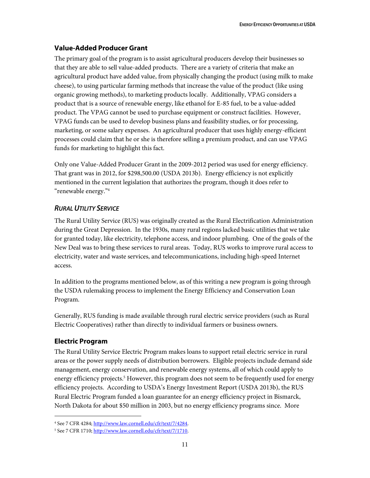### **Value-Added Producer Grant**

The primary goal of the program is to assist agricultural producers develop their businesses so that they are able to sell value-added products. There are a variety of criteria that make an agricultural product have added value, from physically changing the product (using milk to make cheese), to using particular farming methods that increase the value of the product (like using organic growing methods), to marketing products locally. Additionally, VPAG considers a product that is a source of renewable energy, like ethanol for E-85 fuel, to be a value-added product. The VPAG cannot be used to purchase equipment or construct facilities. However, VPAG funds can be used to develop business plans and feasibility studies, or for processing, marketing, or some salary expenses. An agricultural producer that uses highly energy-efficient processes could claim that he or she is therefore selling a premium product, and can use VPAG funds for marketing to highlight this fact.

Only one Value-Added Producer Grant in the 2009-2012 period was used for energy efficiency. That grant was in 2012, for \$298,500.00 (USDA 2013b). Energy efficiency is not explicitly mentioned in the current legislation that authorizes the program, though it does refer to "renewable energy."<sup>4</sup>

### <span id="page-14-0"></span>*RURAL UTILITY SERVICE*

The Rural Utility Service (RUS) was originally created as the Rural Electrification Administration during the Great Depression. In the 1930s, many rural regions lacked basic utilities that we take for granted today, like electricity, telephone access, and indoor plumbing. One of the goals of the New Deal was to bring these services to rural areas. Today, RUS works to improve rural access to electricity, water and waste services, and telecommunications, including high-speed Internet access.

In addition to the programs mentioned below, as of this writing a new program is going through the USDA rulemaking process to implement the Energy Efficiency and Conservation Loan Program.

Generally, RUS funding is made available through rural electric service providers (such as Rural Electric Cooperatives) rather than directly to individual farmers or business owners.

### **Electric Program**

 $\overline{a}$ 

The Rural Utility Service Electric Program makes loans to support retail electric service in rural areas or the power supply needs of distribution borrowers. Eligible projects include demand side management, energy conservation, and renewable energy systems, all of which could apply to energy efficiency projects. <sup>5</sup> However, this program does not seem to be frequently used for energy efficiency projects. According to USDA's Energy Investment Report (USDA 2013b), the RUS Rural Electric Program funded a loan guarantee for an energy efficiency project in Bismarck, North Dakota for about \$50 million in 2003, but no energy efficiency programs since. More

<sup>4</sup> See 7 CFR 4284; [http://www.law.cornell.edu/cfr/text/7/4284.](http://www.law.cornell.edu/cfr/text/7/4284)

<sup>&</sup>lt;sup>5</sup> See 7 CFR 1710; [http://www.law.cornell.edu/cfr/text/7/1710.](http://www.law.cornell.edu/cfr/text/7/1710)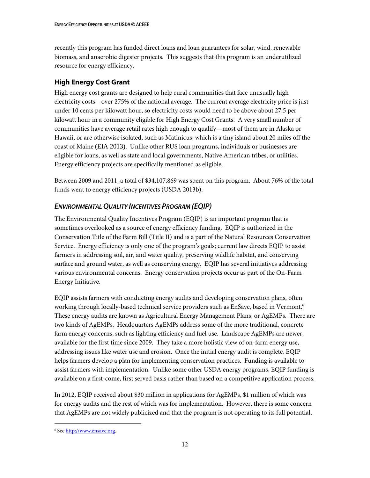recently this program has funded direct loans and loan guarantees for solar, wind, renewable biomass, and anaerobic digester projects. This suggests that this program is an underutilized resource for energy efficiency.

### **High Energy Cost Grant**

High energy cost grants are designed to help rural communities that face unusually high electricity costs—over 275% of the national average. The current average electricity price is just under 10 cents per kilowatt hour, so electricity costs would need to be above about 27.5 per kilowatt hour in a community eligible for High Energy Cost Grants. A very small number of communities have average retail rates high enough to qualify—most of them are in Alaska or Hawaii, or are otherwise isolated, such as Matinicus, which is a tiny island about 20 miles off the coast of Maine (EIA 2013). Unlike other RUS loan programs, individuals or businesses are eligible for loans, as well as state and local governments, Native American tribes, or utilities. Energy efficiency projects are specifically mentioned as eligible.

Between 2009 and 2011, a total of \$34,107,869 was spent on this program. About 76% of the total funds went to energy efficiency projects (USDA 2013b).

### <span id="page-15-0"></span>*ENVIRONMENTAL QUALITY INCENTIVES PROGRAM (EQIP)*

The Environmental Quality Incentives Program (EQIP) is an important program that is sometimes overlooked as a source of energy efficiency funding. EQIP is authorized in the Conservation Title of the Farm Bill (Title II) and is a part of the Natural Resources Conservation Service. Energy efficiency is only one of the program's goals; current law directs EQIP to assist farmers in addressing soil, air, and water quality, preserving wildlife habitat, and conserving surface and ground water, as well as conserving energy. EQIP has several initiatives addressing various environmental concerns. Energy conservation projects occur as part of the On-Farm Energy Initiative.

EQIP assists farmers with conducting energy audits and developing conservation plans, often working through locally-based technical service providers such as EnSave, based in Vermont. 6 These energy audits are known as Agricultural Energy Management Plans, or AgEMPs. There are two kinds of AgEMPs. Headquarters AgEMPs address some of the more traditional, concrete farm energy concerns, such as lighting efficiency and fuel use. Landscape AgEMPs are newer, available for the first time since 2009. They take a more holistic view of on-farm energy use, addressing issues like water use and erosion. Once the initial energy audit is complete, EQIP helps farmers develop a plan for implementing conservation practices. Funding is available to assist farmers with implementation. Unlike some other USDA energy programs, EQIP funding is available on a first-come, first served basis rather than based on a competitive application process.

In 2012, EQIP received about \$30 million in applications for AgEMPs, \$1 million of which was for energy audits and the rest of which was for implementation. However, there is some concern that AgEMPs are not widely publicized and that the program is not operating to its full potential,

 $\overline{a}$ 

<sup>&</sup>lt;sup>6</sup> Se[e http://www.ensave.org.](http://www.ensave.org/)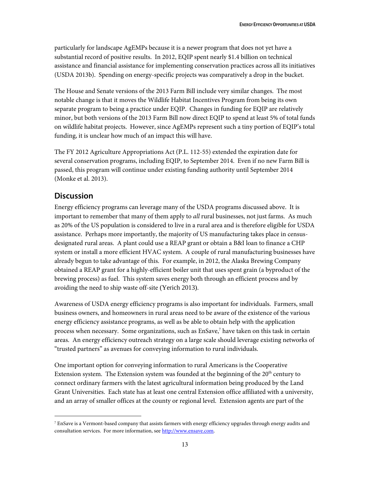particularly for landscape AgEMPs because it is a newer program that does not yet have a substantial record of positive results. In 2012, EQIP spent nearly \$1.4 billion on technical assistance and financial assistance for implementing conservation practices across all its initiatives (USDA 2013b). Spending on energy-specific projects was comparatively a drop in the bucket.

The House and Senate versions of the 2013 Farm Bill include very similar changes. The most notable change is that it moves the Wildlife Habitat Incentives Program from being its own separate program to being a practice under EQIP. Changes in funding for EQIP are relatively minor, but both versions of the 2013 Farm Bill now direct EQIP to spend at least 5% of total funds on wildlife habitat projects. However, since AgEMPs represent such a tiny portion of EQIP's total funding, it is unclear how much of an impact this will have.

The FY 2012 Agriculture Appropriations Act (P.L. 112-55) extended the expiration date for several conservation programs, including EQIP, to September 2014. Even if no new Farm Bill is passed, this program will continue under existing funding authority until September 2014 (Monke et al. 2013).

### <span id="page-16-0"></span>**Discussion**

 $\overline{a}$ 

Energy efficiency programs can leverage many of the USDA programs discussed above. It is important to remember that many of them apply to *all* rural businesses, not just farms. As much as 20% of the US population is considered to live in a rural area and is therefore eligible for USDA assistance. Perhaps more importantly, the majority of US manufacturing takes place in censusdesignated rural areas. A plant could use a REAP grant or obtain a B&I loan to finance a CHP system or install a more efficient HVAC system. A couple of rural manufacturing businesses have already begun to take advantage of this. For example, in 2012, the Alaska Brewing Company obtained a REAP grant for a highly-efficient boiler unit that uses spent grain (a byproduct of the brewing process) as fuel. This system saves energy both through an efficient process and by avoiding the need to ship waste off-site (Yerich 2013).

Awareness of USDA energy efficiency programs is also important for individuals. Farmers, small business owners, and homeowners in rural areas need to be aware of the existence of the various energy efficiency assistance programs, as well as be able to obtain help with the application process when necessary. Some organizations, such as EnSave, <sup>7</sup> have taken on this task in certain areas. An energy efficiency outreach strategy on a large scale should leverage existing networks of "trusted partners" as avenues for conveying information to rural individuals.

One important option for conveying information to rural Americans is the Cooperative Extension system. The Extension system was founded at the beginning of the  $20<sup>th</sup>$  century to connect ordinary farmers with the latest agricultural information being produced by the Land Grant Universities. Each state has at least one central Extension office affiliated with a university, and an array of smaller offices at the county or regional level. Extension agents are part of the

 $<sup>7</sup>$  EnSave is a Vermont-based company that assists farmers with energy efficiency upgrades through energy audits and</sup> consultation services. For more information, see [http://www.ensave.com.](http://www.ensave.com/)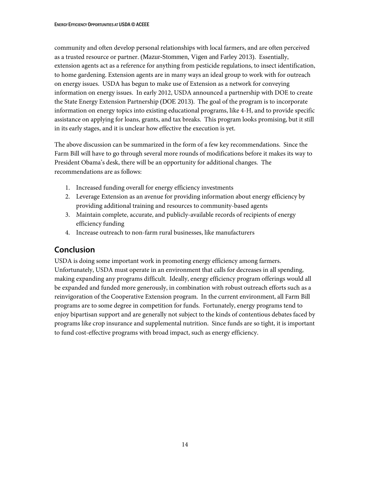community and often develop personal relationships with local farmers, and are often perceived as a trusted resource or partner. (Mazur-Stommen, Vigen and Farley 2013). Essentially, extension agents act as a reference for anything from pesticide regulations, to insect identification, to home gardening. Extension agents are in many ways an ideal group to work with for outreach on energy issues. USDA has begun to make use of Extension as a network for conveying information on energy issues. In early 2012, USDA announced a partnership with DOE to create the State Energy Extension Partnership (DOE 2013). The goal of the program is to incorporate information on energy topics into existing educational programs, like 4-H, and to provide specific assistance on applying for loans, grants, and tax breaks. This program looks promising, but it still in its early stages, and it is unclear how effective the execution is yet.

The above discussion can be summarized in the form of a few key recommendations. Since the Farm Bill will have to go through several more rounds of modifications before it makes its way to President Obama's desk, there will be an opportunity for additional changes. The recommendations are as follows:

- 1. Increased funding overall for energy efficiency investments
- 2. Leverage Extension as an avenue for providing information about energy efficiency by providing additional training and resources to community-based agents
- 3. Maintain complete, accurate, and publicly-available records of recipients of energy efficiency funding
- 4. Increase outreach to non-farm rural businesses, like manufacturers

### <span id="page-17-0"></span>**Conclusion**

USDA is doing some important work in promoting energy efficiency among farmers. Unfortunately, USDA must operate in an environment that calls for decreases in all spending, making expanding any programs difficult. Ideally, energy efficiency program offerings would all be expanded and funded more generously, in combination with robust outreach efforts such as a reinvigoration of the Cooperative Extension program. In the current environment, all Farm Bill programs are to some degree in competition for funds. Fortunately, energy programs tend to enjoy bipartisan support and are generally not subject to the kinds of contentious debates faced by programs like crop insurance and supplemental nutrition. Since funds are so tight, it is important to fund cost-effective programs with broad impact, such as energy efficiency.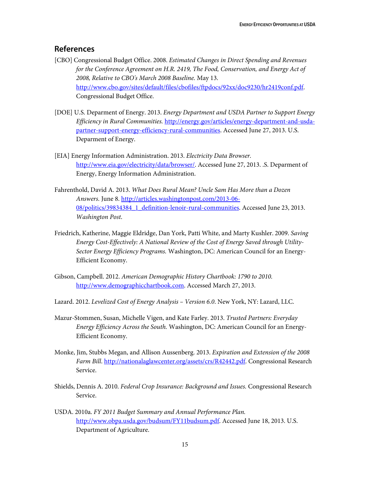### <span id="page-18-0"></span>**References**

- [CBO] Congressional Budget Office. 2008. *Estimated Changes in Direct Spending and Revenues for the Conference Agreement on H.R. 2419, The Food, Conservation, and Energy Act of 2008, Relative to CBO's March 2008 Baseline.* May 13. [http://www.cbo.gov/sites/default/files/cbofiles/ftpdocs/92xx/doc9230/hr2419conf.pdf.](http://www.cbo.gov/sites/default/files/cbofiles/ftpdocs/92xx/doc9230/hr2419conf.pdf) Congressional Budget Office.
- [DOE] U.S. Deparment of Energy. 2013. *Energy Department and USDA Partner to Support Energy Efficiency in Rural Communities.* [http://energy.gov/articles/energy-department-and-usda](http://energy.gov/articles/energy-department-and-usda-partner-support-energy-efficiency-rural-communities)[partner-support-energy-efficiency-rural-communities.](http://energy.gov/articles/energy-department-and-usda-partner-support-energy-efficiency-rural-communities) Accessed June 27, 2013. U.S. Deparment of Energy.
- [EIA] Energy Information Administration. 2013. *Electricity Data Browser.* [http://www.eia.gov/electricity/data/browser/.](http://www.eia.gov/electricity/data/browser/) Accessed June 27, 2013. .S. Deparment of Energy, Energy Information Administration.
- Fahrenthold, David A. 2013. *What Does Rural Mean? Uncle Sam Has More than a Dozen Answers.* June 8[. http://articles.washingtonpost.com/2013-06-](http://articles.washingtonpost.com/2013-06-08/politics/39834384_1_definition-lenoir-rural-communities) [08/politics/39834384\\_1\\_definition-lenoir-rural-communities.](http://articles.washingtonpost.com/2013-06-08/politics/39834384_1_definition-lenoir-rural-communities) Accessed June 23, 2013. *Washington Post*.
- Friedrich, Katherine, Maggie Eldridge, Dan York, Patti White, and Marty Kushler. 2009. *Saving Energy Cost-Effectively: A National Review of the Cost of Energy Saved through Utility-Sector Energy Efficiency Programs.* Washington, DC: American Council for an Energy-Efficient Economy.
- Gibson, Campbell. 2012. *American Demographic History Chartbook: 1790 to 2010.* [http://www.demographicchartbook.com.](http://www.demographicchartbook.com/) Accessed March 27, 2013.
- Lazard. 2012. *Levelized Cost of Energy Analysis – Version 6.0*. New York, NY: Lazard, LLC.
- Mazur-Stommen, Susan, Michelle Vigen, and Kate Farley. 2013. *Trusted Partners: Everyday Energy Efficiency Across the South.* Washington, DC: American Council for an Energy-Efficient Economy.
- Monke, Jim, Stubbs Megan, and Allison Aussenberg. 2013. *Expiration and Extension of the 2008 Farm Bill*. [http://nationalaglawcenter.org/assets/crs/R42442.pdf.](http://nationalaglawcenter.org/assets/crs/R42442.pdf) Congressional Research Service.
- Shields, Dennis A. 2010. *Federal Crop Insurance: Background and Issues.* Congressional Research Service.
- USDA. 2010a. *FY 2011 Budget Summary and Annual Performance Plan.*  [http://www.obpa.usda.gov/budsum/FY11budsum.pdf.](http://www.obpa.usda.gov/budsum/FY11budsum.pdf) Accessed June 18, 2013. U.S. Department of Agriculture.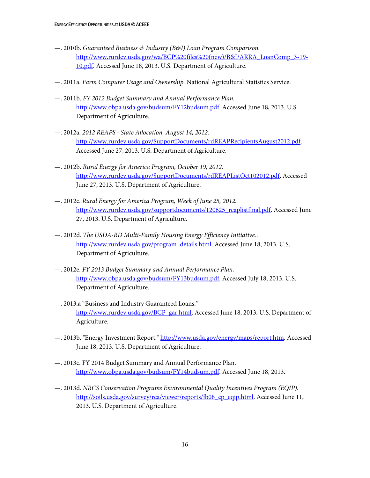- —. 2010b. *Guaranteed Business & Industry (B&I) Loan Program Comparison.* [http://www.rurdev.usda.gov/wa/BCP%20files%20\(new\)/B&I/ARRA\\_LoanComp\\_3-19-](http://www.rurdev.usda.gov/wa/BCP%20files%20(new)/B&I/ARRA_LoanComp_3-19-10.pdf) [10.pdf.](http://www.rurdev.usda.gov/wa/BCP%20files%20(new)/B&I/ARRA_LoanComp_3-19-10.pdf) Accessed June 18, 2013. U.S. Department of Agriculture.
- —. 2011a. *Farm Computer Usage and Ownership.* National Agricultural Statistics Service.
- —. 2011b. *FY 2012 Budget Summary and Annual Performance Plan.*  [http://www.obpa.usda.gov/budsum/FY12budsum.pdf.](http://www.obpa.usda.gov/budsum/FY12budsum.pdf) Accessed June 18, 2013. U.S. Department of Agriculture.
- —. 2012a. *2012 REAPS - State Allocation, August 14, 2012.* [http://www.rurdev.usda.gov/SupportDocuments/rdREAPRecipientsAugust2012.pdf.](http://www.rurdev.usda.gov/SupportDocuments/rdREAPRecipientsAugust2012.pdf) Accessed June 27, 2013. U.S. Department of Agriculture.
- —. 2012b. *Rural Energy for America Program, October 19, 2012.* [http://www.rurdev.usda.gov/SupportDocuments/rdREAPListOct102012.pdf.](http://www.rurdev.usda.gov/SupportDocuments/rdREAPListOct102012.pdf) Accessed June 27, 2013. U.S. Department of Agriculture.
- —. 2012c. *Rural Energy for America Program, Week of June 25, 2012.* [http://www.rurdev.usda.gov/supportdocuments/120625\\_reaplistfinal.pdf.](http://www.rurdev.usda.gov/supportdocuments/120625_reaplistfinal.pdf) Accessed June 27, 2013. U.S. Department of Agriculture.
- —. 2012d. *The USDA-RD Multi-Family Housing Energy Efficiency Initiative.*. [http://www.rurdev.usda.gov/program\\_details.html.](http://www.rurdev.usda.gov/program_details.html) Accessed June 18, 2013. U.S. Department of Agriculture.
- —. 2012e. *FY 2013 Budget Summary and Annual Performance Plan.* [http://www.obpa.usda.gov/budsum/FY13budsum.pdf.](http://www.obpa.usda.gov/budsum/FY13budsum.pdf) Accessed July 18, 2013. U.S. Department of Agriculture.
- —. 2013.a "Business and Industry Guaranteed Loans." [http://www.rurdev.usda.gov/BCP\\_gar.html.](http://www.rurdev.usda.gov/BCP_gar.html) Accessed June 18, 2013. U.S. Department of Agriculture.
- —. 2013b. "Energy Investment Report." [http://www.usda.gov/energy/maps/report.htm.](http://www.usda.gov/energy/maps/report.htm) Accessed June 18, 2013. U.S. Department of Agriculture.
- —. 2013c. FY 2014 Budget Summary and Annual Performance Plan. [http://www.obpa.usda.gov/budsum/FY14budsum.pdf.](http://www.obpa.usda.gov/budsum/FY14budsum.pdf) Accessed June 18, 2013.
- —. 2013d. *NRCS Conservation Programs Environmental Quality Incentives Program (EQIP).* [http://soils.usda.gov/survey/rca/viewer/reports/fb08\\_cp\\_eqip.html.](http://soils.usda.gov/survey/rca/viewer/reports/fb08_cp_eqip.html) Accessed June 11, 2013. U.S. Department of Agriculture.